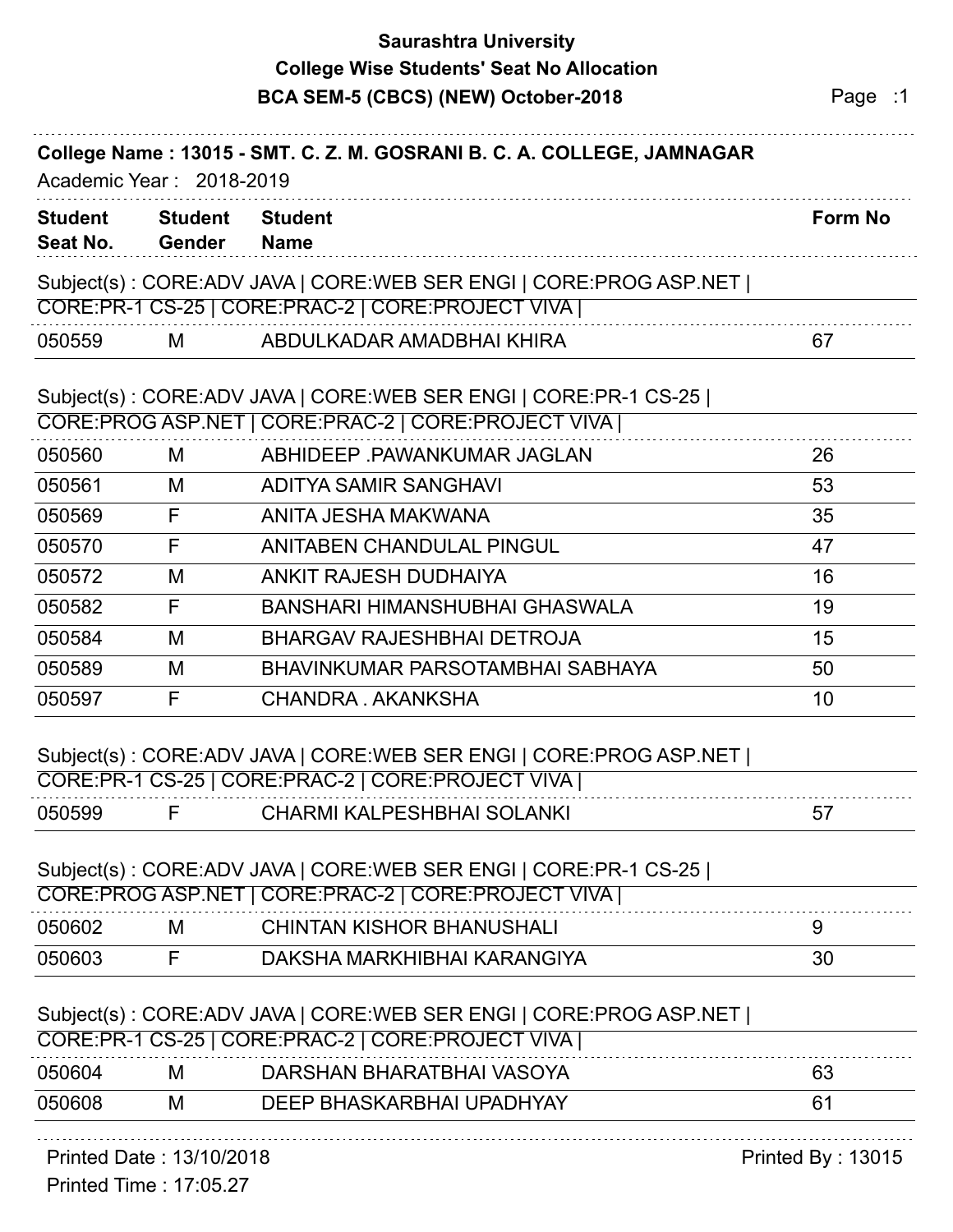## **Saurashtra University BCA SEM-5 (CBCS) (NEW) October-2018** Page 11 **College Wise Students' Seat No Allocation**

|                            |                                 | DUA SEIVI-3 (UDUS) (NEVY) OCLODEI-ZUTO                                                                                   | raye . I       |
|----------------------------|---------------------------------|--------------------------------------------------------------------------------------------------------------------------|----------------|
|                            | Academic Year: 2018-2019        | College Name: 13015 - SMT. C. Z. M. GOSRANI B. C. A. COLLEGE, JAMNAGAR                                                   |                |
| <b>Student</b><br>Seat No. | <b>Student</b><br><b>Gender</b> | <b>Student</b><br><b>Name</b>                                                                                            | <b>Form No</b> |
|                            |                                 | Subject(s): CORE:ADV JAVA   CORE:WEB SER ENGI   CORE:PROG ASP.NET  <br>CORE:PR-1 CS-25   CORE:PRAC-2   CORE:PROJECT VIVA |                |
| 050559                     | M                               | ABDULKADAR AMADBHAI KHIRA                                                                                                | 67             |
|                            |                                 | Subject(s): CORE:ADV JAVA   CORE:WEB SER ENGI   CORE:PR-1 CS-25  <br>CORE:PROG ASP.NET   CORE:PRAC-2   CORE:PROJECT VIVA |                |
| 050560                     | M                               | ABHIDEEP PAWANKUMAR JAGLAN                                                                                               | 26             |
| 050561                     | M                               | ADITYA SAMIR SANGHAVI                                                                                                    | 53             |
| 050569                     | F                               | ANITA JESHA MAKWANA                                                                                                      | 35             |
| 050570                     | F                               | ANITABEN CHANDULAL PINGUL                                                                                                | 47             |
| 050572                     | M                               | ANKIT RAJESH DUDHAIYA                                                                                                    | 16             |
| 050582                     | F                               | BANSHARI HIMANSHUBHAI GHASWALA                                                                                           | 19             |
| 050584                     | M                               | <b>BHARGAV RAJESHBHAI DETROJA</b>                                                                                        | 15             |
| 050589                     | М                               | BHAVINKUMAR PARSOTAMBHAI SABHAYA                                                                                         | 50             |
| 050597                     | F                               | CHANDRA, AKANKSHA                                                                                                        | 10             |
|                            |                                 | Subject(s): CORE:ADV JAVA   CORE:WEB SER ENGI   CORE:PROG ASP.NET  <br>CORE:PR-1 CS-25   CORE:PRAC-2   CORE:PROJECT VIVA |                |
| 050599                     | F                               | <b>CHARMI KALPESHBHAI SOLANKI</b>                                                                                        | 57             |
|                            |                                 | Subject(s): CORE:ADV JAVA   CORE:WEB SER ENGI   CORE:PR-1 CS-25  <br>CORE:PROG ASP.NET   CORE:PRAC-2   CORE:PROJECT VIVA |                |
| 050602                     | M                               | <b>CHINTAN KISHOR BHANUSHALI</b>                                                                                         | 9              |
| 050603                     | F                               | DAKSHA MARKHIBHAI KARANGIYA                                                                                              | 30             |
|                            |                                 |                                                                                                                          |                |
|                            |                                 | Subject(s): CORE:ADV JAVA   CORE:WEB SER ENGI   CORE:PROG ASP.NET                                                        |                |
|                            |                                 | CORE:PR-1 CS-25   CORE:PRAC-2   CORE:PROJECT VIVA                                                                        |                |
| 050604                     | M                               | DARSHAN BHARATBHAI VASOYA                                                                                                | 63             |
| 050608                     | M                               | DEEP BHASKARBHAI UPADHYAY                                                                                                | 61             |

### Printed Date : 13/10/2018 **Printed By : 13015**

Printed Time : 17:05.27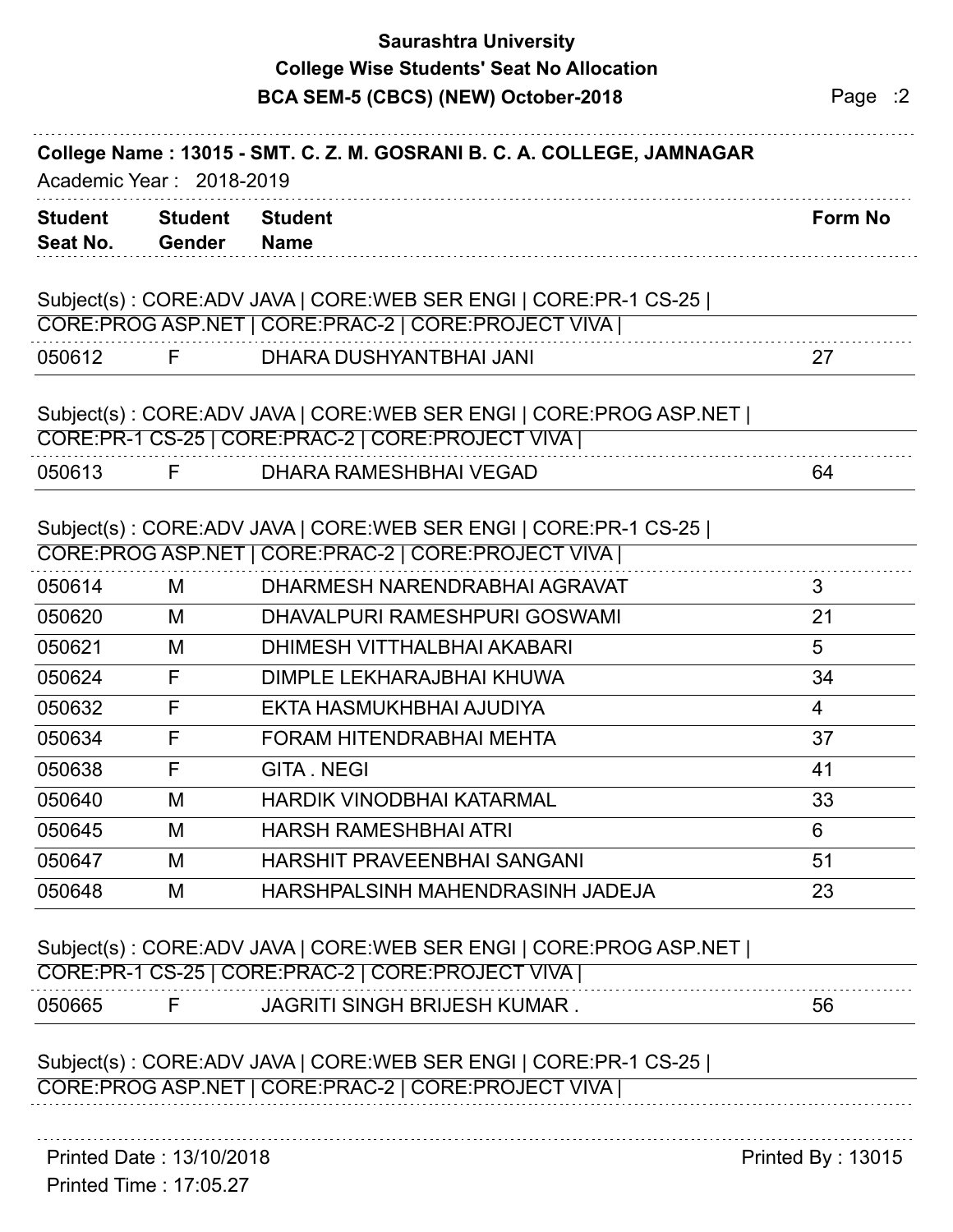# **Saurashtra University BCA SEM-5 (CBCS) (NEW) October-2018** Page :2 **College Wise Students' Seat No Allocation**

| <b>Student</b><br>Seat No. | <b>Student</b><br>Gender | <b>Student</b><br><b>Name</b>                                                                                            | <b>Form No</b> |
|----------------------------|--------------------------|--------------------------------------------------------------------------------------------------------------------------|----------------|
|                            |                          | Subject(s): CORE:ADV JAVA   CORE:WEB SER ENGI   CORE:PR-1 CS-25  <br>CORE:PROG ASP.NET   CORE:PRAC-2   CORE:PROJECT VIVA |                |
| 050612                     | F.                       | DHARA DUSHYANTBHAI JANI                                                                                                  | 27             |
|                            |                          | Subject(s): CORE:ADV JAVA   CORE:WEB SER ENGI   CORE:PROG ASP.NET  <br>CORE:PR-1 CS-25   CORE:PRAC-2   CORE:PROJECT VIVA |                |
| 050613                     | F.                       | DHARA RAMESHBHAI VEGAD                                                                                                   | 64             |
|                            |                          | Subject(s): CORE:ADV JAVA   CORE:WEB SER ENGI   CORE:PR-1 CS-25  <br>CORE:PROG ASP.NET   CORE:PRAC-2   CORE:PROJECT VIVA |                |
|                            |                          |                                                                                                                          |                |
| 050614                     | M                        | DHARMESH NARENDRABHAI AGRAVAT                                                                                            | 3              |
| 050620                     | M                        | DHAVALPURI RAMESHPURI GOSWAMI                                                                                            | 21             |
| 050621                     | M                        | DHIMESH VITTHALBHAI AKABARI                                                                                              | 5              |
| 050624                     | F                        | DIMPLE LEKHARAJBHAI KHUWA                                                                                                | 34             |
| 050632                     | F                        | EKTA HASMUKHBHAI AJUDIYA                                                                                                 | 4              |
| 050634                     | F                        | <b>FORAM HITENDRABHAI MEHTA</b>                                                                                          | 37             |
| 050638                     | F                        | <b>GITA.NEGI</b>                                                                                                         | 41             |
| 050640                     | M                        | <b>HARDIK VINODBHAI KATARMAL</b>                                                                                         | 33             |
| 050645                     | M                        | <b>HARSH RAMESHBHAI ATRI</b>                                                                                             | 6              |
| 050647                     | M                        | HARSHIT PRAVEENBHAI SANGANI                                                                                              | 51             |

| CORE:PR-1 | $CS-25$ | <b>VIVA</b><br>I CORE:PRAC-2   CORE:PROJECT    |           |
|-----------|---------|------------------------------------------------|-----------|
| 050665    |         | <b>' SINGH BRIJESH KUMAR</b><br><b>JAGRIT'</b> | - -<br>Ⴢხ |

### Subject(s) : CORE:ADV JAVA | CORE:WEB SER ENGI | CORE:PR-1 CS-25 | CORE:PROG ASP.NET | CORE:PRAC-2 | CORE:PROJECT VIVA |

Printed Date : 13/10/2018 **Printed By : 13015**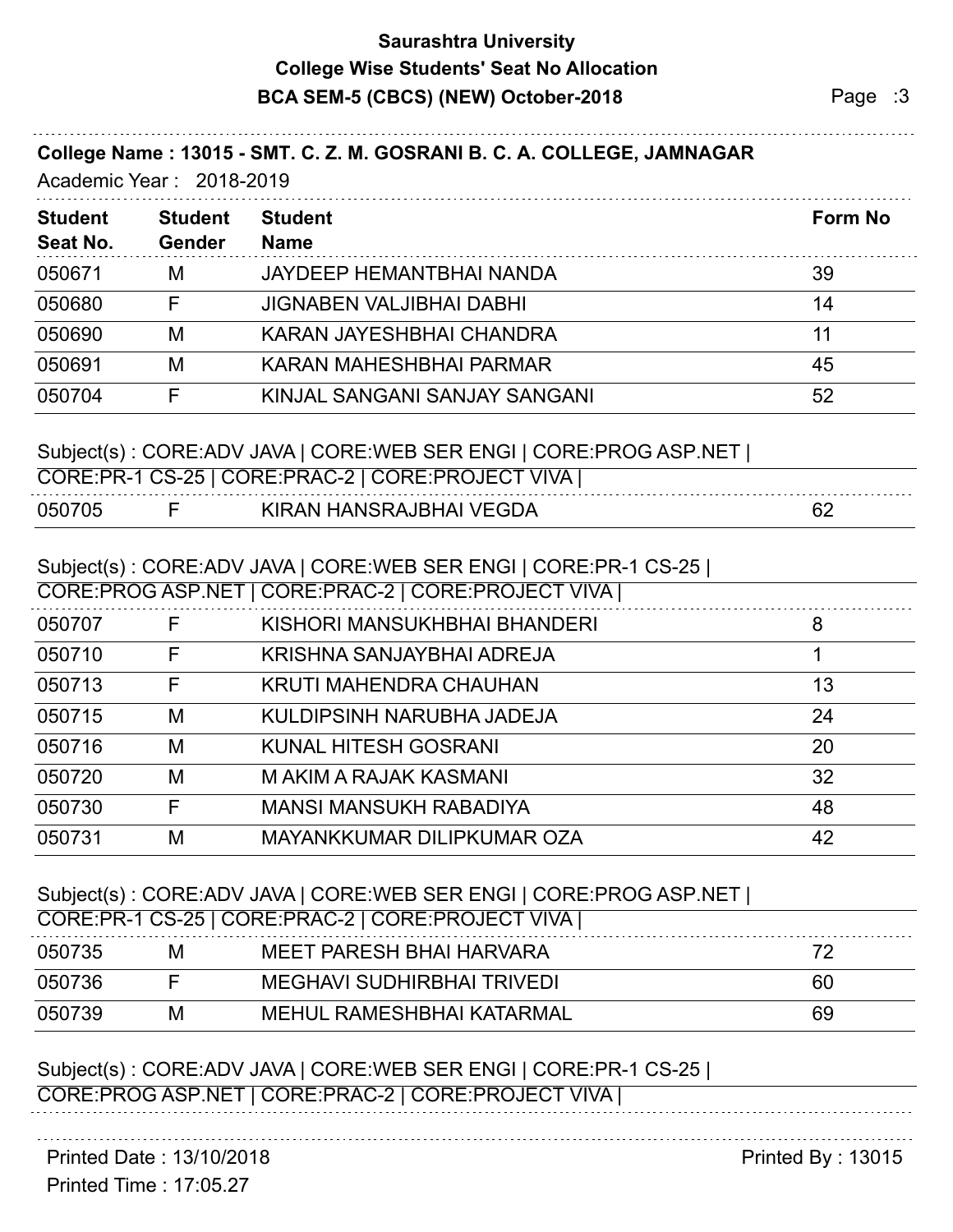## **Saurashtra University BCA SEM-5 (CBCS) (NEW) October-2018** Page :3 **College Wise Students' Seat No Allocation**

#### **College Name : 13015 - SMT. C. Z. M. GOSRANI B. C. A. COLLEGE, JAMNAGAR**

Academic Year : 2018-2019

| <b>Student</b> | <b>Student</b> | <b>Student</b>                  | Form No |
|----------------|----------------|---------------------------------|---------|
| Seat No.       | Gender         | <b>Name</b>                     |         |
| 050671         | M              | JAYDEEP HEMANTBHAI NANDA        | 39      |
| 050680         |                | <b>JIGNABEN VALJIBHAI DABHI</b> | 14      |
| 050690         | M              | KARAN JAYESHBHAI CHANDRA        |         |
| 050691         | M              | KARAN MAHESHBHAI PARMAR         | 45      |
| 050704         |                | KINJAL SANGANI SANJAY SANGANI   | 52      |

#### Subject(s) : CORE:ADV JAVA | CORE:WEB SER ENGI | CORE:PROG ASP.NET |

|        | CORE:PR-1 CS-25   CORE:PRAC-2   CORE:PROJECT VIVA |   |
|--------|---------------------------------------------------|---|
| 050705 | KIRAN HANSRAJBHAI VEGDA                           | ∽ |

### Subject(s) : CORE:ADV JAVA | CORE:WEB SER ENGI | CORE:PR-1 CS-25 |

|        |   | CORE:PROG ASP.NET   CORE:PRAC-2   CORE:PROJECT VIVA |    |
|--------|---|-----------------------------------------------------|----|
| 050707 | F | KISHORI MANSUKHBHAI BHANDERI                        | 8  |
| 050710 | F | KRISHNA SANJAYBHAI ADREJA                           |    |
| 050713 | F | KRUTI MAHENDRA CHAUHAN                              | 13 |
| 050715 | M | KULDIPSINH NARUBHA JADEJA                           | 24 |
| 050716 | M | KUNAL HITESH GOSRANI                                | 20 |
| 050720 | M | M AKIM A RAJAK KASMANI                              | 32 |
| 050730 | F | <b>MANSI MANSUKH RABADIYA</b>                       | 48 |
| 050731 | M | MAYANKKUMAR DILIPKUMAR OZA                          | 42 |
|        |   |                                                     |    |

#### Subject(s) : CORE:ADV JAVA | CORE:WEB SER ENGI | CORE:PROG ASP.NET |

| CORE:PR-1 CS-25   CORE:PRAC-2   CORE:PROJECT VIVA |   |                            |    |  |
|---------------------------------------------------|---|----------------------------|----|--|
| 050735                                            | м | MEET PARESH BHAI HARVARA   |    |  |
| 050736                                            |   | MEGHAVI SUDHIRBHAI TRIVEDI | 60 |  |
| 050739                                            | M | MEHUL RAMESHBHAI KATARMAL  | 69 |  |

# Subject(s) : CORE:ADV JAVA | CORE:WEB SER ENGI | CORE:PR-1 CS-25 |

CORE:PROG ASP.NET | CORE:PRAC-2 | CORE:PROJECT VIVA |

Printed Date : 13/10/2018 **Printed By : 13015** 

Printed Time : 17:05.27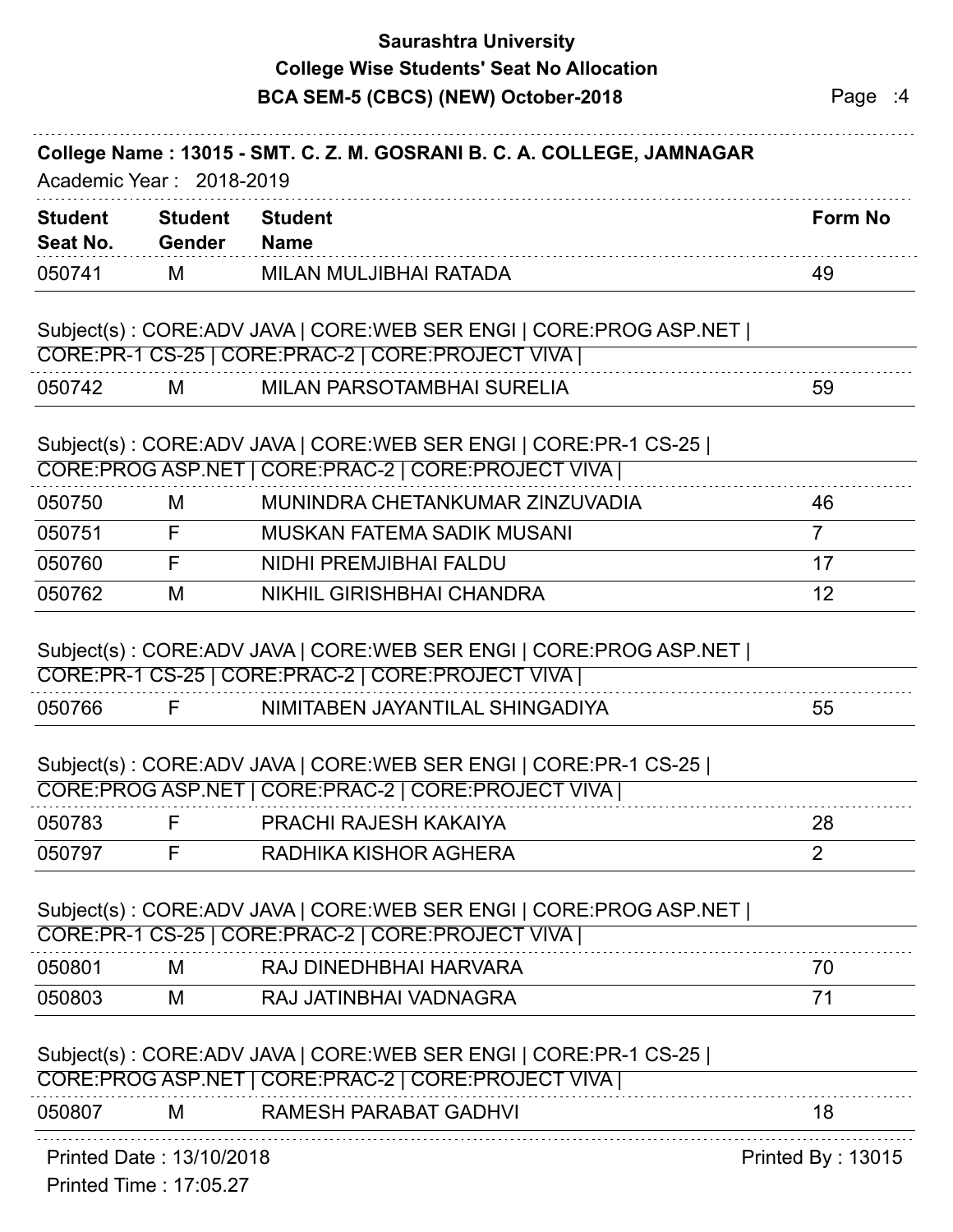|                            |                          | <b>Saurashtra University</b><br><b>College Wise Students' Seat No Allocation</b><br>BCA SEM-5 (CBCS) (NEW) October-2018  | Page :4         |
|----------------------------|--------------------------|--------------------------------------------------------------------------------------------------------------------------|-----------------|
|                            | Academic Year: 2018-2019 | College Name: 13015 - SMT. C. Z. M. GOSRANI B. C. A. COLLEGE, JAMNAGAR                                                   |                 |
| <b>Student</b><br>Seat No. | <b>Student</b><br>Gender | <b>Student</b><br><b>Name</b>                                                                                            | <b>Form No</b>  |
| 050741                     | M                        | MILAN MULJIBHAI RATADA                                                                                                   | 49              |
|                            |                          | Subject(s): CORE:ADV JAVA   CORE:WEB SER ENGI   CORE:PROG ASP.NET                                                        |                 |
|                            |                          | CORE:PR-1 CS-25   CORE:PRAC-2   CORE:PROJECT VIVA                                                                        |                 |
| 050742                     | M                        | MILAN PARSOTAMBHAI SURELIA                                                                                               | 59              |
|                            |                          | Subject(s): CORE:ADV JAVA   CORE:WEB SER ENGI   CORE:PR-1 CS-25  <br>CORE:PROG ASP.NET   CORE:PRAC-2   CORE:PROJECT VIVA |                 |
| 050750                     | М                        | MUNINDRA CHETANKUMAR ZINZUVADIA                                                                                          | 46              |
| 050751                     | F                        | MUSKAN FATEMA SADIK MUSANI                                                                                               | $\overline{7}$  |
| 050760                     | $\mathsf{F}$             | NIDHI PREMJIBHAI FALDU                                                                                                   | 17              |
| 050762                     | M                        | <b>NIKHIL GIRISHBHAI CHANDRA</b>                                                                                         | 12 <sup>2</sup> |
|                            |                          | Subject(s): CORE:ADV JAVA   CORE:WEB SER ENGI   CORE:PROG ASP.NET  <br>CORE:PR-1 CS-25   CORE:PRAC-2   CORE:PROJECT VIVA |                 |
| 050766                     | F                        | NIMITABEN JAYANTILAL SHINGADIYA                                                                                          | 55              |
|                            |                          | Subject(s): CORE:ADV JAVA   CORE:WEB SER ENGI   CORE:PR-1 CS-25  <br>CORE:PROG ASP.NET   CORE:PRAC-2   CORE:PROJECT VIVA |                 |
| 050783                     | F                        | PRACHI RAJESH KAKAIYA                                                                                                    | 28              |
| 050797                     | F                        | RADHIKA KISHOR AGHERA                                                                                                    | $\overline{2}$  |
|                            |                          | Subject(s): CORE:ADV JAVA   CORE:WEB SER ENGI   CORE:PROG ASP.NET  <br>CORE:PR-1 CS-25   CORE:PRAC-2   CORE:PROJECT VIVA |                 |
| 050801                     | M                        | RAJ DINEDHBHAI HARVARA                                                                                                   | 70              |
| 050803                     | M                        | RAJ JATINBHAI VADNAGRA                                                                                                   | 71              |
|                            |                          |                                                                                                                          |                 |

#### Subject(s) : CORE:ADV JAVA | CORE:WEB SER ENGI | CORE:PR-1 CS-25 | CORE:PROG ASP.NET | CORE:PRAC-2 | CORE:PROJECT VIVA |

| n5086<br>RAMESH PARARAT GADHVL<br>ΙVΙ |  |
|---------------------------------------|--|
|                                       |  |

Printed Date : 13/10/2018 **Printed By : 13015** 

Printed Time : 17:05.27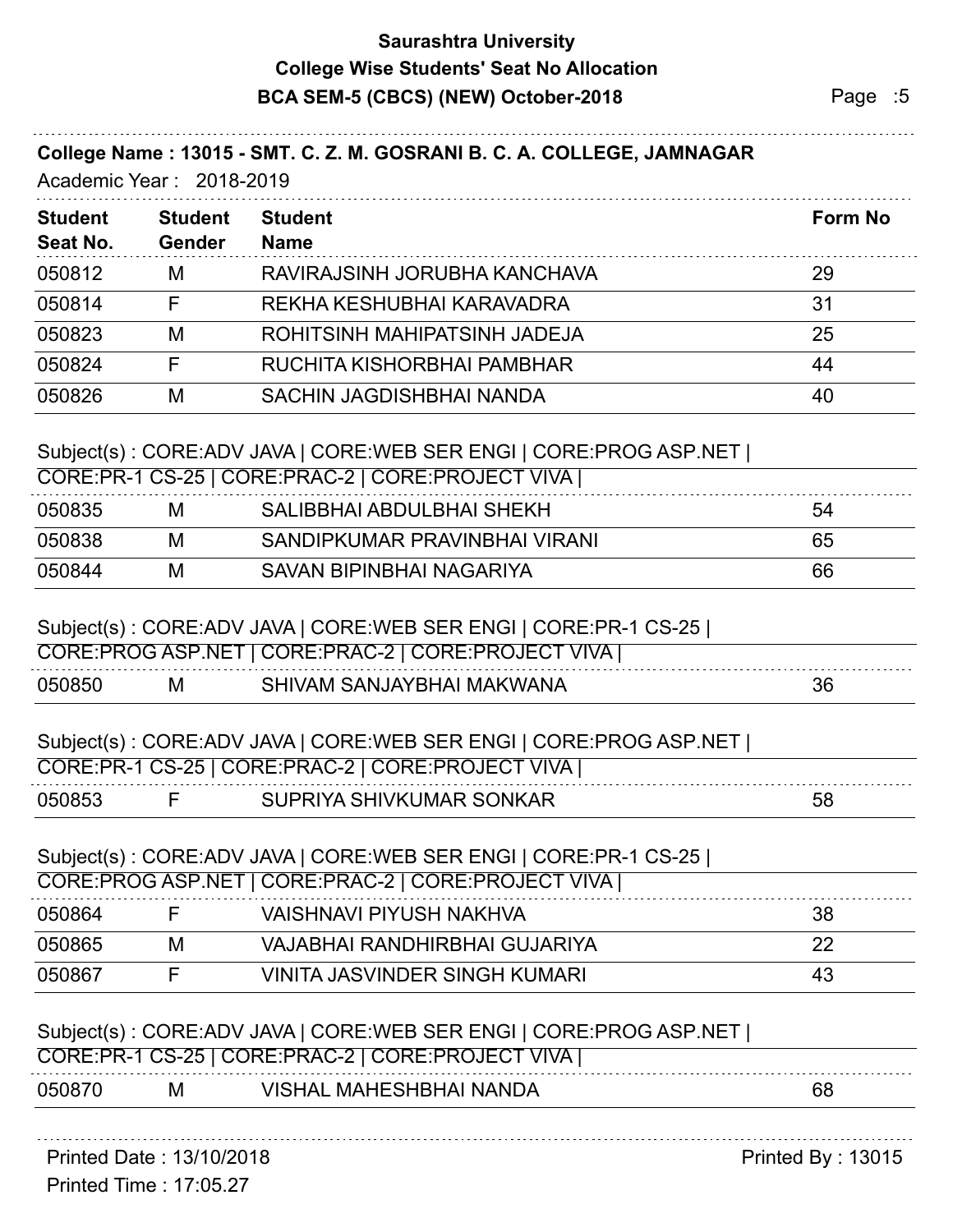## **Saurashtra University BCA SEM-5 (CBCS) (NEW) October-2018** Page :5 **College Wise Students' Seat No Allocation**

### **College Name : 13015 - SMT. C. Z. M. GOSRANI B. C. A. COLLEGE, JAMNAGAR**

Academic Year : 2018-2019

| <b>Student</b> | <b>Student</b> | <b>Student</b>                  | <b>Form No</b> |
|----------------|----------------|---------------------------------|----------------|
| Seat No.       | <b>Gender</b>  | <b>Name</b>                     |                |
| 050812         | М              | RAVIRAJSINH JORUBHA KANCHAVA    | 29             |
| 050814         | F              | REKHA KESHUBHAI KARAVADRA       | 31             |
| 050823         | М              | ROHITSINH MAHIPATSINH JADEJA    | 25             |
| 050824         | F              | RUCHITA KISHORBHAI PAMBHAR      | 44             |
| 050826         | M              | <b>SACHIN JAGDISHBHAI NANDA</b> | 40             |
|                |                |                                 |                |

#### Subject(s) : CORE:ADV JAVA | CORE:WEB SER ENGI | CORE:PROG ASP.NET |

| CORE:PR-1 CS-25   CORE:PRAC-2   CORE:PROJECT VIVA |   |                               |    |  |
|---------------------------------------------------|---|-------------------------------|----|--|
| 050835                                            | M | SALIBBHAI ABDULBHAI SHEKH     | 54 |  |
| 050838                                            | M | SANDIPKUMAR PRAVINBHAI VIRANI | 65 |  |
| 050844                                            | M | SAVAN BIPINBHAI NAGARIYA      | 66 |  |

#### Subject(s) : CORE:ADV JAVA | CORE:WEB SER ENGI | CORE:PR-1 CS-25 |

| <b>CORE:PROG ASP</b> |   | `VIVA<br>NET   CORE:PRAC-2   CORE:PROJECT |    |
|----------------------|---|-------------------------------------------|----|
| 050850               | M | SHIVAM SANJAYBHAI MAKWANA                 | 36 |

### Subject(s) : CORE:ADV JAVA | CORE:WEB SER ENGI | CORE:PROG ASP.NET |

| ∵PR-1 CS-25 ∟ | <b>VIVA</b><br>ັ' CORE:PRAC-2   CORE:PROJEC1 ↓ |    |
|---------------|------------------------------------------------|----|
| 05085         | <b>SHIVKUMAR SONKAR</b>                        | აშ |

#### Subject(s) : CORE:ADV JAVA | CORE:WEB SER ENGI | CORE:PR-1 CS-25 |

|        |   | CORE:PROG ASP.NET   CORE:PRAC-2   CORE:PROJECT VIVA |    |
|--------|---|-----------------------------------------------------|----|
| 050864 |   | VAISHNAVI PIYUSH NAKHVA                             | 38 |
| 050865 | М | VAJABHAI RANDHIRBHAI GUJARIYA                       | 22 |
| 050867 |   | <b>VINITA JASVINDER SINGH KUMARI</b>                | 43 |
|        |   |                                                     |    |

#### Subject(s) : CORE:ADV JAVA | CORE:WEB SER ENGI | CORE:PROG ASP.NET |

| <b>VIVA</b><br><sup>--</sup> :PR-1 CS-25   CORE:PRAC-2   CORE:PROJECT \ |   |                              |     |  |  |  |  |
|-------------------------------------------------------------------------|---|------------------------------|-----|--|--|--|--|
| 050870                                                                  | M | . MAHESHBHAI NANDA<br>VISHAL | ರಿ೬ |  |  |  |  |

Printed Date : 13/10/2018 **Printed By : 13015** 

Printed Time : 17:05.27